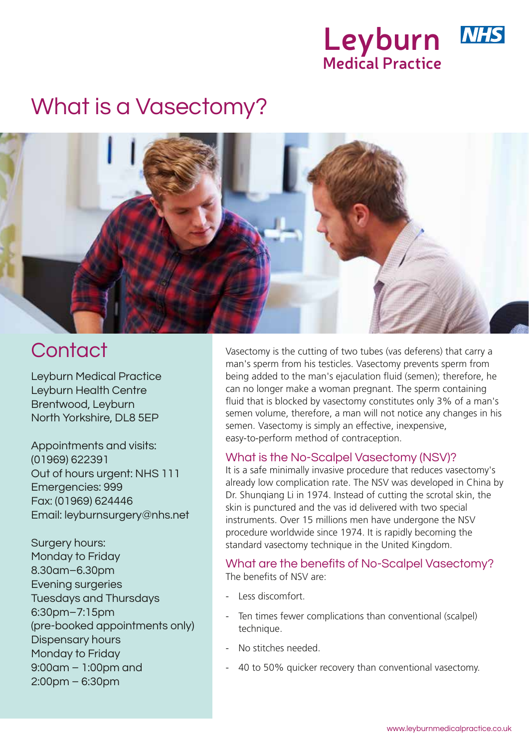

# What is a Vasectomy?



Leyburn Medical Practice Leyburn Health Centre Brentwood, Leyburn North Yorkshire, DL8 5EP

Appointments and visits: (01969) 622391 Out of hours urgent: NHS 111 Emergencies: 999 Fax: (01969) 624446 Email: leyburnsurgery@nhs.net

Surgery hours: Monday to Friday 8.30am–6.30pm Evening surgeries Tuesdays and Thursdays 6:30pm–7:15pm (pre-booked appointments only) Dispensary hours Monday to Friday 9:00am – 1:00pm and 2:00pm – 6:30pm

Contact Vasectomy is the cutting of two tubes (vas deferens) that carry a man's sperm from his testicles. Vasectomy prevents sperm from being added to the man's ejaculation fluid (semen); therefore, he can no longer make a woman pregnant. The sperm containing fluid that is blocked by vasectomy constitutes only 3% of a man's semen volume, therefore, a man will not notice any changes in his semen. Vasectomy is simply an effective, inexpensive, easy-to-perform method of contraception.

# What is the No-Scalpel Vasectomy (NSV)?

It is a safe minimally invasive procedure that reduces vasectomy's already low complication rate. The NSV was developed in China by Dr. Shunqiang Li in 1974. Instead of cutting the scrotal skin, the skin is punctured and the vas id delivered with two special instruments. Over 15 millions men have undergone the NSV procedure worldwide since 1974. It is rapidly becoming the standard vasectomy technique in the United Kingdom.

#### What are the benefits of No-Scalpel Vasectomy? The benefits of NSV are:

- Less discomfort.
- Ten times fewer complications than conventional (scalpel) technique.
- No stitches needed.
- 40 to 50% quicker recovery than conventional vasectomy.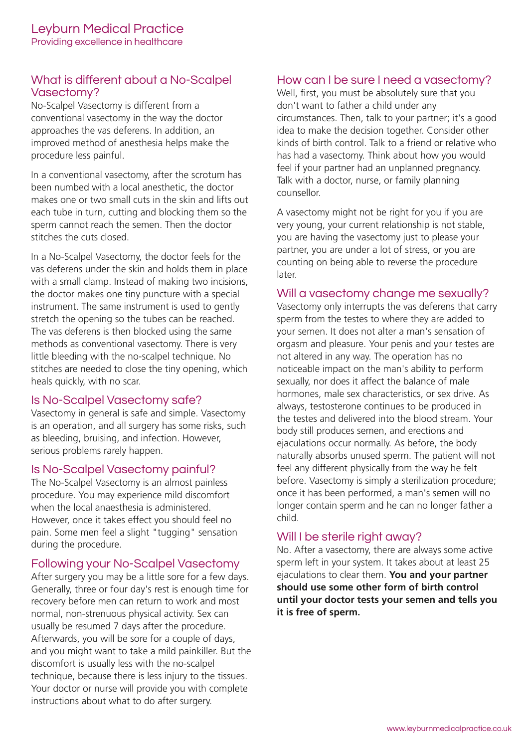# What is different about a No-Scalpel Vasectomy?

No-Scalpel Vasectomy is different from a conventional vasectomy in the way the doctor approaches the vas deferens. In addition, an improved method of anesthesia helps make the procedure less painful.

In a conventional vasectomy, after the scrotum has been numbed with a local anesthetic, the doctor makes one or two small cuts in the skin and lifts out each tube in turn, cutting and blocking them so the sperm cannot reach the semen. Then the doctor stitches the cuts closed.

In a No-Scalpel Vasectomy, the doctor feels for the vas deferens under the skin and holds them in place with a small clamp. Instead of making two incisions, the doctor makes one tiny puncture with a special instrument. The same instrument is used to gently stretch the opening so the tubes can be reached. The vas deferens is then blocked using the same methods as conventional vasectomy. There is very little bleeding with the no-scalpel technique. No stitches are needed to close the tiny opening, which heals quickly, with no scar.

### Is No-Scalpel Vasectomy safe?

Vasectomy in general is safe and simple. Vasectomy is an operation, and all surgery has some risks, such as bleeding, bruising, and infection. However, serious problems rarely happen.

#### Is No-Scalpel Vasectomy painful?

The No-Scalpel Vasectomy is an almost painless procedure. You may experience mild discomfort when the local anaesthesia is administered. However, once it takes effect you should feel no pain. Some men feel a slight "tugging" sensation during the procedure.

### Following your No-Scalpel Vasectomy

After surgery you may be a little sore for a few days. Generally, three or four day's rest is enough time for recovery before men can return to work and most normal, non-strenuous physical activity. Sex can usually be resumed 7 days after the procedure. Afterwards, you will be sore for a couple of days, and you might want to take a mild painkiller. But the discomfort is usually less with the no-scalpel technique, because there is less injury to the tissues. Your doctor or nurse will provide you with complete instructions about what to do after surgery.

#### How can I be sure I need a vasectomy?

Well, first, you must be absolutely sure that you don't want to father a child under any circumstances. Then, talk to your partner; it's a good idea to make the decision together. Consider other kinds of birth control. Talk to a friend or relative who has had a vasectomy. Think about how you would feel if your partner had an unplanned pregnancy. Talk with a doctor, nurse, or family planning counsellor.

A vasectomy might not be right for you if you are very young, your current relationship is not stable, you are having the vasectomy just to please your partner, you are under a lot of stress, or you are counting on being able to reverse the procedure later.

#### Will a vasectomy change me sexually?

Vasectomy only interrupts the vas deferens that carry sperm from the testes to where they are added to your semen. It does not alter a man's sensation of orgasm and pleasure. Your penis and your testes are not altered in any way. The operation has no noticeable impact on the man's ability to perform sexually, nor does it affect the balance of male hormones, male sex characteristics, or sex drive. As always, testosterone continues to be produced in the testes and delivered into the blood stream. Your body still produces semen, and erections and ejaculations occur normally. As before, the body naturally absorbs unused sperm. The patient will not feel any different physically from the way he felt before. Vasectomy is simply a sterilization procedure; once it has been performed, a man's semen will no longer contain sperm and he can no longer father a child.

# Will I be sterile right away?

No. After a vasectomy, there are always some active sperm left in your system. It takes about at least 25 ejaculations to clear them. **You and your partner should use some other form of birth control until your doctor tests your semen and tells you it is free of sperm.**